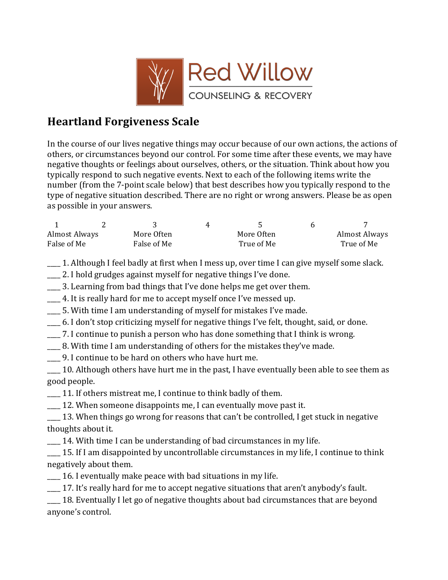

# **Heartland Forgiveness Scale**

In the course of our lives negative things may occur because of our own actions, the actions of others, or circumstances beyond our control. For some time after these events, we may have negative thoughts or feelings about ourselves, others, or the situation. Think about how you typically respond to such negative events. Next to each of the following items write the number (from the 7-point scale below) that best describes how you typically respond to the type of negative situation described. There are no right or wrong answers. Please be as open as possible in your answers.

| Almost Always | More Often  | More Often | Almost Always |
|---------------|-------------|------------|---------------|
| False of Me   | False of Me | True of Me | True of Me    |

1. Although I feel badly at first when I mess up, over time I can give myself some slack.

- $\Box$  2. I hold grudges against myself for negative things I've done.
- 3. Learning from bad things that I've done helps me get over them.
- \_\_\_ 4. It is really hard for me to accept myself once I've messed up.
- $\_\_$  5. With time I am understanding of myself for mistakes I've made.
- $\_\_$ 6. I don't stop criticizing myself for negative things I've felt, thought, said, or done.
- $\Box$  7. I continue to punish a person who has done something that I think is wrong.
- \_\_\_ 8. With time I am understanding of others for the mistakes they've made.
- \_\_\_\_ 9. I continue to be hard on others who have hurt me.
- $\_\_$ 10. Although others have hurt me in the past, I have eventually been able to see them as good people.
- $\_\_$ 11. If others mistreat me, I continue to think badly of them.
- \_\_\_ 12. When someone disappoints me, I can eventually move past it.
- 13. When things go wrong for reasons that can't be controlled, I get stuck in negative thoughts about it.
- $\sim$  14. With time I can be understanding of bad circumstances in my life.
- <sup>15.</sup> If I am disappointed by uncontrollable circumstances in my life, I continue to think negatively about them.
- $\frac{1}{16}$  16. I eventually make peace with bad situations in my life.
- 17. It's really hard for me to accept negative situations that aren't anybody's fault.
- 18. Eventually I let go of negative thoughts about bad circumstances that are beyond anyone's control.